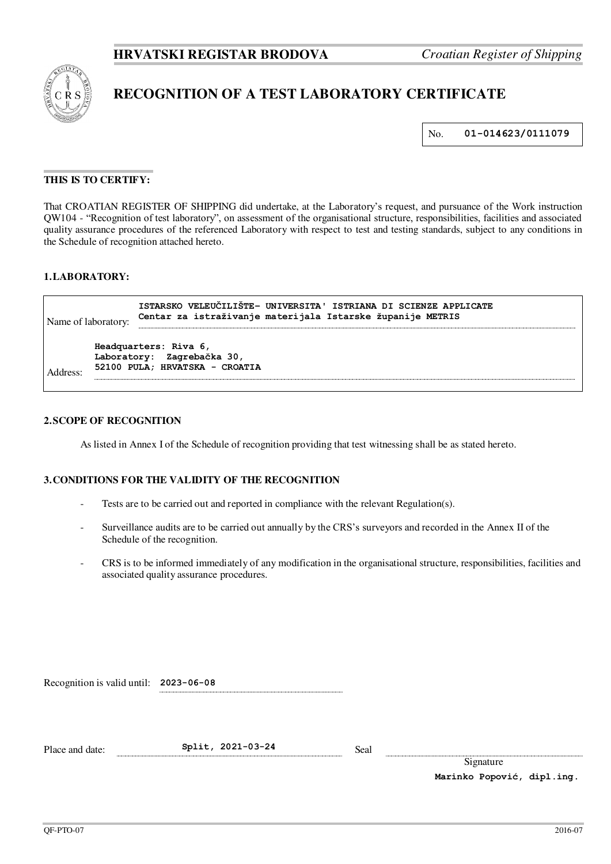

# **RECOGNITION OF A TEST LABORATORY CERTIFICATE**

No. **01-014623/0111079** 

## **THIS IS TO CERTIFY:**

That CROATIAN REGISTER OF SHIPPING did undertake, at the Laboratory's request, and pursuance of the Work instruction QW104 - "Recognition of test laboratory", on assessment of the organisational structure, responsibilities, facilities and associated quality assurance procedures of the referenced Laboratory with respect to test and testing standards, subject to any conditions in the Schedule of recognition attached hereto.

#### **1. LABORATORY:**

| Name of laboratory:        |  | ISTARSKO VELEUČILIŠTE- UNIVERSITA' ISTRIANA DI SCIENZE APPLICATE<br>Centar za istraživanje materijala Istarske županije METRIS |
|----------------------------|--|--------------------------------------------------------------------------------------------------------------------------------|
|                            |  | Headquarters: Riva 6,                                                                                                          |
| Laboratory: Zagrebačka 30, |  |                                                                                                                                |
| Address:                   |  | 52100 PULA; HRVATSKA - CROATIA                                                                                                 |
|                            |  |                                                                                                                                |

### **2. SCOPE OF RECOGNITION**

As listed in Annex I of the Schedule of recognition providing that test witnessing shall be as stated hereto.

### **3. CONDITIONS FOR THE VALIDITY OF THE RECOGNITION**

- Tests are to be carried out and reported in compliance with the relevant Regulation(s).
- Surveillance audits are to be carried out annually by the CRS's surveyors and recorded in the Annex II of the Schedule of the recognition.
- CRS is to be informed immediately of any modification in the organisational structure, responsibilities, facilities and associated quality assurance procedures.

| Recognition is valid until: 2023-06-08 |  |  |  |
|----------------------------------------|--|--|--|
|----------------------------------------|--|--|--|

Place and date: **Split, 2021-03-24** Seal

Signature

**Marinko Popović, dipl.ing.**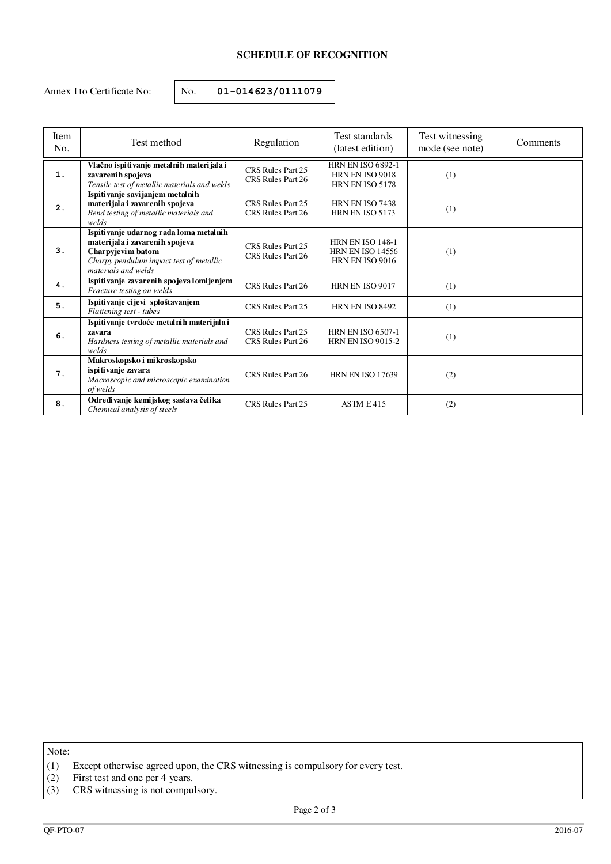## **SCHEDULE OF RECOGNITION**

Annex I to Certificate No:  $\vert$  No. **01-014623/0111079** 

| <b>Item</b><br>No. | Test method                                                                                                                                                     | Regulation                             | Test standards<br>(latest edition)                                           | Test witnessing<br>mode (see note) | Comments |
|--------------------|-----------------------------------------------------------------------------------------------------------------------------------------------------------------|----------------------------------------|------------------------------------------------------------------------------|------------------------------------|----------|
| 1.                 | Vlačno ispitivanje metalnih materijala i<br>zavarenih spojeva<br>Tensile test of metallic materials and welds                                                   | CRS Rules Part 25<br>CRS Rules Part 26 | <b>HRN EN ISO 6892-1</b><br>HRN EN ISO 9018<br>HRN EN ISO 5178               | (1)                                |          |
| 2.                 | Ispitivanje savijanjem metalnih<br>materijala i zavarenih spojeva<br>Bend testing of metallic materials and<br>welds                                            | CRS Rules Part 25<br>CRS Rules Part 26 | HRN EN ISO 7438<br>HRN EN ISO 5173                                           | (1)                                |          |
| 3.                 | Ispitivanje udarnog rada loma metalnih<br>materijala i zavarenih spojeva<br>Charpyjevim batom<br>Charpy pendulum impact test of metallic<br>materials and welds | CRS Rules Part 25<br>CRS Rules Part 26 | <b>HRN EN ISO 148-1</b><br><b>HRN EN ISO 14556</b><br><b>HRN EN ISO 9016</b> | (1)                                |          |
| 4.                 | Ispitivanje zavarenih spojeva lomljenjem<br>Fracture testing on welds                                                                                           | CRS Rules Part 26                      | HRN EN ISO 9017                                                              | (1)                                |          |
| 5.                 | Ispitivanje cijevi sploštavanjem<br>Flattening test - tubes                                                                                                     | CRS Rules Part 25                      | <b>HRN EN ISO 8492</b>                                                       | (1)                                |          |
| 6.                 | Ispitivanje tvrdoće metalnih materijala i<br>zavara<br>Hardness testing of metallic materials and<br>welds                                                      | CRS Rules Part 25<br>CRS Rules Part 26 | <b>HRN EN ISO 6507-1</b><br><b>HRN EN ISO 9015-2</b>                         | (1)                                |          |
| 7.                 | Makroskopsko i mikroskopsko<br>ispitivanje zavara<br>Macroscopic and microscopic examination<br>of welds                                                        | CRS Rules Part 26                      | <b>HRN EN ISO 17639</b>                                                      | (2)                                |          |
| 8.                 | Određivanje kemijskog sastava čelika<br>Chemical analysis of steels                                                                                             | CRS Rules Part 25                      | ASTM E 415                                                                   | (2)                                |          |

Note:

(1) Except otherwise agreed upon, the CRS witnessing is compulsory for every test.

(2) First test and one per 4 years.

<sup>(3)</sup> CRS witnessing is not compulsory.